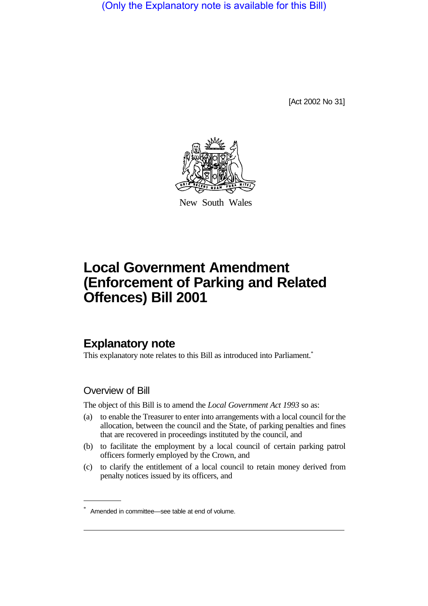(Only the Explanatory note is available for this Bill)

[Act 2002 No 31]



New South Wales

# **Local Government Amendment (Enforcement of Parking and Related Offences) Bill 2001**

## **Explanatory note**

This explanatory note relates to this Bill as introduced into Parliament.<sup>\*</sup>

### Overview of Bill

The object of this Bill is to amend the *Local Government Act 1993* so as:

- (a) to enable the Treasurer to enter into arrangements with a local council for the allocation, between the council and the State, of parking penalties and fines that are recovered in proceedings instituted by the council, and
- (b) to facilitate the employment by a local council of certain parking patrol officers formerly employed by the Crown, and
- (c) to clarify the entitlement of a local council to retain money derived from penalty notices issued by its officers, and

Amended in committee—see table at end of volume.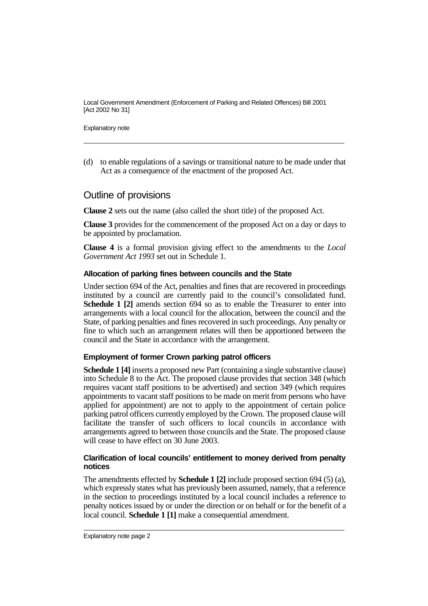Local Government Amendment (Enforcement of Parking and Related Offences) Bill 2001 [Act 2002 No 31]

Explanatory note

(d) to enable regulations of a savings or transitional nature to be made under that Act as a consequence of the enactment of the proposed Act.

## Outline of provisions

**Clause 2** sets out the name (also called the short title) of the proposed Act.

**Clause 3** provides for the commencement of the proposed Act on a day or days to be appointed by proclamation.

**Clause 4** is a formal provision giving effect to the amendments to the *Local Government Act 1993* set out in Schedule 1.

#### **Allocation of parking fines between councils and the State**

Under section 694 of the Act, penalties and fines that are recovered in proceedings instituted by a council are currently paid to the council's consolidated fund. **Schedule 1 [2]** amends section 694 so as to enable the Treasurer to enter into arrangements with a local council for the allocation, between the council and the State, of parking penalties and fines recovered in such proceedings. Any penalty or fine to which such an arrangement relates will then be apportioned between the council and the State in accordance with the arrangement.

#### **Employment of former Crown parking patrol officers**

**Schedule 1 [4]** inserts a proposed new Part (containing a single substantive clause) into Schedule 8 to the Act. The proposed clause provides that section 348 (which requires vacant staff positions to be advertised) and section 349 (which requires appointments to vacant staff positions to be made on merit from persons who have applied for appointment) are not to apply to the appointment of certain police parking patrol officers currently employed by the Crown. The proposed clause will facilitate the transfer of such officers to local councils in accordance with arrangements agreed to between those councils and the State. The proposed clause will cease to have effect on 30 June 2003.

#### **Clarification of local councils' entitlement to money derived from penalty notices**

The amendments effected by **Schedule 1 [2]** include proposed section 694 (5) (a), which expressly states what has previously been assumed, namely, that a reference in the section to proceedings instituted by a local council includes a reference to penalty notices issued by or under the direction or on behalf or for the benefit of a local council. **Schedule 1 [1]** make a consequential amendment.